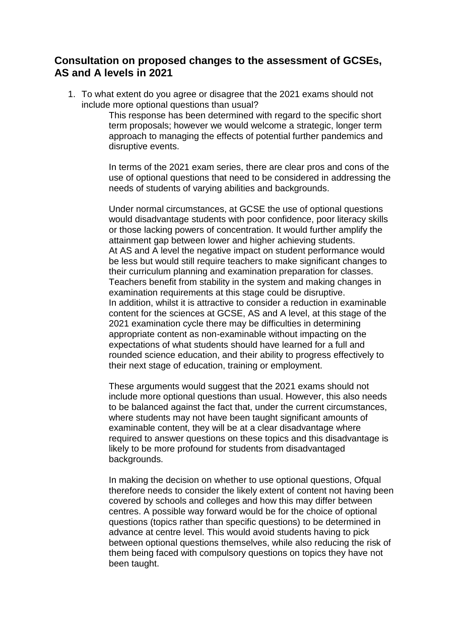## **Consultation on proposed changes to the assessment of GCSEs, AS and A levels in 2021**

1. To what extent do you agree or disagree that the 2021 exams should not include more optional questions than usual?

> This response has been determined with regard to the specific short term proposals; however we would welcome a strategic, longer term approach to managing the effects of potential further pandemics and disruptive events.

In terms of the 2021 exam series, there are clear pros and cons of the use of optional questions that need to be considered in addressing the needs of students of varying abilities and backgrounds.

Under normal circumstances, at GCSE the use of optional questions would disadvantage students with poor confidence, poor literacy skills or those lacking powers of concentration. It would further amplify the attainment gap between lower and higher achieving students. At AS and A level the negative impact on student performance would be less but would still require teachers to make significant changes to their curriculum planning and examination preparation for classes. Teachers benefit from stability in the system and making changes in examination requirements at this stage could be disruptive. In addition, whilst it is attractive to consider a reduction in examinable content for the sciences at GCSE, AS and A level, at this stage of the 2021 examination cycle there may be difficulties in determining appropriate content as non-examinable without impacting on the expectations of what students should have learned for a full and rounded science education, and their ability to progress effectively to their next stage of education, training or employment.

These arguments would suggest that the 2021 exams should not include more optional questions than usual. However, this also needs to be balanced against the fact that, under the current circumstances, where students may not have been taught significant amounts of examinable content, they will be at a clear disadvantage where required to answer questions on these topics and this disadvantage is likely to be more profound for students from disadvantaged backgrounds.

In making the decision on whether to use optional questions, Ofqual therefore needs to consider the likely extent of content not having been covered by schools and colleges and how this may differ between centres. A possible way forward would be for the choice of optional questions (topics rather than specific questions) to be determined in advance at centre level. This would avoid students having to pick between optional questions themselves, while also reducing the risk of them being faced with compulsory questions on topics they have not been taught.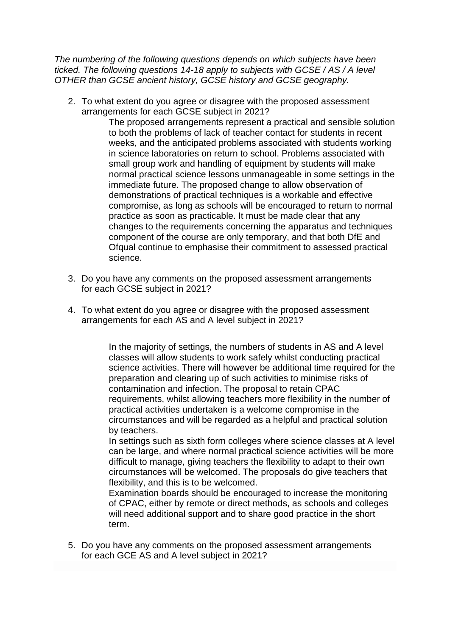*The numbering of the following questions depends on which subjects have been ticked. The following questions 14-18 apply to subjects with GCSE / AS / A level OTHER than GCSE ancient history, GCSE history and GCSE geography.*

2. To what extent do you agree or disagree with the proposed assessment arrangements for each GCSE subject in 2021?

The proposed arrangements represent a practical and sensible solution to both the problems of lack of teacher contact for students in recent weeks, and the anticipated problems associated with students working in science laboratories on return to school. Problems associated with small group work and handling of equipment by students will make normal practical science lessons unmanageable in some settings in the immediate future. The proposed change to allow observation of demonstrations of practical techniques is a workable and effective compromise, as long as schools will be encouraged to return to normal practice as soon as practicable. It must be made clear that any changes to the requirements concerning the apparatus and techniques component of the course are only temporary, and that both DfE and Ofqual continue to emphasise their commitment to assessed practical science.

- 3. Do you have any comments on the proposed assessment arrangements for each GCSE subject in 2021?
- 4. To what extent do you agree or disagree with the proposed assessment arrangements for each AS and A level subject in 2021?

In the majority of settings, the numbers of students in AS and A level classes will allow students to work safely whilst conducting practical science activities. There will however be additional time required for the preparation and clearing up of such activities to minimise risks of contamination and infection. The proposal to retain CPAC requirements, whilst allowing teachers more flexibility in the number of practical activities undertaken is a welcome compromise in the circumstances and will be regarded as a helpful and practical solution by teachers.

In settings such as sixth form colleges where science classes at A level can be large, and where normal practical science activities will be more difficult to manage, giving teachers the flexibility to adapt to their own circumstances will be welcomed. The proposals do give teachers that flexibility, and this is to be welcomed.

Examination boards should be encouraged to increase the monitoring of CPAC, either by remote or direct methods, as schools and colleges will need additional support and to share good practice in the short term.

5. Do you have any comments on the proposed assessment arrangements for each GCE AS and A level subject in 2021?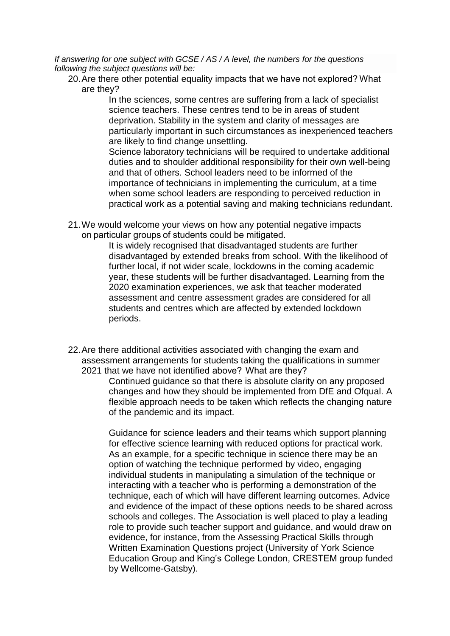*If answering for one subject with GCSE / AS / A level, the numbers for the questions following the subject questions will be:*

20.Are there other potential equality impacts that we have not explored? What are they?

> In the sciences, some centres are suffering from a lack of specialist science teachers. These centres tend to be in areas of student deprivation. Stability in the system and clarity of messages are particularly important in such circumstances as inexperienced teachers are likely to find change unsettling.

> Science laboratory technicians will be required to undertake additional duties and to shoulder additional responsibility for their own well-being and that of others. School leaders need to be informed of the importance of technicians in implementing the curriculum, at a time when some school leaders are responding to perceived reduction in practical work as a potential saving and making technicians redundant.

21.We would welcome your views on how any potential negative impacts on particular groups of students could be mitigated.

It is widely recognised that disadvantaged students are further disadvantaged by extended breaks from school. With the likelihood of further local, if not wider scale, lockdowns in the coming academic year, these students will be further disadvantaged. Learning from the 2020 examination experiences, we ask that teacher moderated assessment and centre assessment grades are considered for all students and centres which are affected by extended lockdown periods.

22.Are there additional activities associated with changing the exam and assessment arrangements for students taking the qualifications in summer 2021 that we have not identified above?  What are they? 

> Continued guidance so that there is absolute clarity on any proposed changes and how they should be implemented from DfE and Ofqual. A flexible approach needs to be taken which reflects the changing nature of the pandemic and its impact.

> Guidance for science leaders and their teams which support planning for effective science learning with reduced options for practical work. As an example, for a specific technique in science there may be an option of watching the technique performed by video, engaging individual students in manipulating a simulation of the technique or interacting with a teacher who is performing a demonstration of the technique, each of which will have different learning outcomes. Advice and evidence of the impact of these options needs to be shared across schools and colleges. The Association is well placed to play a leading role to provide such teacher support and guidance, and would draw on evidence, for instance, from the Assessing Practical Skills through Written Examination Questions project (University of York Science Education Group and King's College London, CRESTEM group funded by Wellcome-Gatsby).